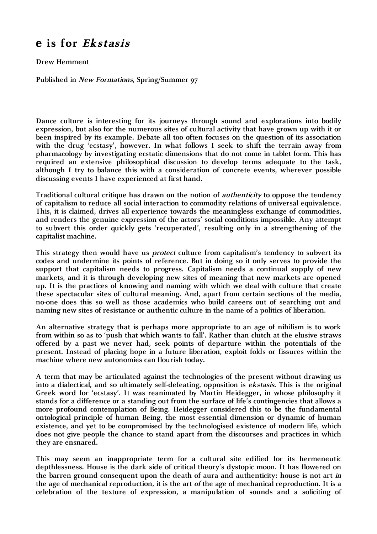## **e is for Ekstasis**

**Drew Hemment**

**Published in New Formations, Spring/Summer 97** 

**Dance culture is interesting for its journeys through sound and explorations into bodily expression, but also for the numerous sites of cultural activity that have grown up with it or been inspired by its example. Debate all too often focuses on the question of its association with the drug 'ecstasy', however. In what follows I seek to shift the terrain away from pharmacology by investigating ecstatic dimensions that do not come in tablet form. This has required an extensive philosophical discussion to develop terms adequate to the task, although I try to balance this with a consideration of concrete events, wherever possible discussing events I have experienced at first hand.**

**Traditional cultural critique has drawn on the notion of authenticity to oppose the tendency of capitalism to reduce all social interaction to commodity relations of universal equivalence. This, it is claimed, drives all experience towards the meaningless exchange of commodities, and renders the genuine expression of the actors' social conditions impossible. Any attempt to subvert this order quickly gets 'recuperated', resulting only in a strengthening of the capitalist machine.**

**This strategy then would have us protect culture from capitalism's tendency to subvert its codes and undermine its points of reference. But in doing so it only serves to provide the support that capitalism needs to progress. Capitalism needs a continual supply of new markets, and it is through developing new sites of meaning that new markets are opened up. It is the practices of knowing and naming with which we deal with culture that create these spectacular sites of cultural meaning. And, apart from certain sections of the media, no-one does this so well as those academics who build careers out of searching out and naming new sites of resistance or authentic culture in the name of a politics of liberation.**

**An alternative strategy that is perhaps more appropriate to an age of nihilism is to work from within so as to 'push that which wants to fall'. Rather than clutch at the elusive straws offered by a past we never had, seek points of departure within the potentials of the present. Instead of placing hope in a future liberation, exploit folds or fissures within the machine where new autonomies can flourish today.**

**A term that may be articulated against the technologies of the present without drawing us into a dialectical, and so ultimately self-defeating, opposition is ekstasis. This is the original Greek word for 'ecstasy'. It was reanimated by Martin Heidegger, in whose philosophy it stands for a difference or a standing out from the surface of life's contingencies that allows a more profound contemplation of Being. Heidegger considered this to be the fundamental ontological principle of human Being, the most essential dimension or dynamic of human existence, and yet to be compromised by the technologised existence of modern life, which does not give people the chance to stand apart from the discourses and practices in which they are ensnared.**

**This may seem an inappropriate term for a cultural site edified for its hermeneutic depthlessness. House is the dark side of critical theory's dystopic moon. It has flowered on the barren ground consequent upon the death of aura and authenticity: house is not art in the age of mechanical reproduction, it is the art of the age of mechanical reproduction. It is a celebration of the texture of expression, a manipulation of sounds and a soliciting of**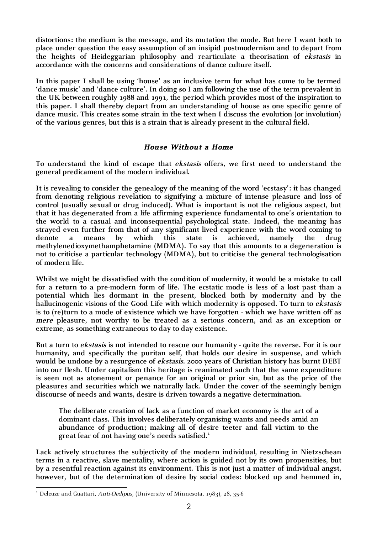**distortions: the medium is the message, and its mutation the mode. But here I want both to place under question the easy assumption of an insipid postmodernism and to depart from the heights of Heideggarian philosophy and rearticulate a theorisation of ekstasis in accordance with the concerns and considerations of dance culture itself.**

**In this paper I shall be using 'house' as an inclusive term for what has come to be termed 'dance music' and 'dance culture'. In doing so I am following the use of the term prevalent in the UK between roughly 1988 and 1991, the period which provides most of the inspiration to this paper. I shall thereby depart from an understanding of house as one specific genre of dance music. This creates some strain in the text when I discuss the evolution (or involution) of the various genres, but this is a strain that is already present in the cultural field.**

## **House Without a Home**

**To understand the kind of escape that ekstasis offers, we first need to understand the general predicament of the modern individual.**

**It is revealing to consider the genealogy of the meaning of the word 'ecstasy': it has changed from denoting religious revelation to signifying a mixture of intense pleasure and loss of control (usually sexual or drug induced). What is important is not the religious aspect, but that it has degenerated from a life affirming experience fundamental to one's orientation to the world to a casual and inconsequential psychological state. Indeed, the meaning has strayed even further from that of any significant lived experience with the word coming to denote a means by which this state is achieved, namely the drug methylenedioxymethamphetamine (MDMA). To say that this amounts to a degeneration is not to criticise a particular technology (MDMA), but to criticise the general technologisation of modern life.**

**Whilst we might be dissatisfied with the condition of modernity, it would be a mistake to call for a return to a pre-modern form of life. The ecstatic mode is less of a lost past than a potential which lies dormant in the present, blocked both by modernity and by the hallucinogenic visions of the Good Life with which modernity is opposed. To turn to ekstasis is to (re)turn to a mode of existence which we have forgotten - which we have written off as mere pleasure, not worthy to be treated as a serious concern, and as an exception or extreme, as something extraneous to day to day existence.**

**But a turn to ekstasis is not intended to rescue our humanity - quite the reverse. For it is our humanity, and specifically the puritan self, that holds our desire in suspense, and which would be undone by a resurgence of ekstasis. 2000 years of Christian history has burnt DEBT into our flesh. Under capitalism this heritage is reanimated such that the same expenditure is seen not as atonement or penance for an original or prior sin, but as the price of the pleasures and securities which we naturally lack. Under the cover of the seemingly benign discourse of needs and wants, desire is driven towards a negative determination.**

**The deliberate creation of lack as a function of market economy is the art of a dominant class. This involves deliberately organising wants and needs amid an abundance of production; making all of desire teeter and fall victim to the great fear of not having one's needs satisfied.1**

**Lack actively structures the subjectivity of the modern individual, resulting in Nietzschean terms in a reactive, slave mentality, where action is guided not by its own propensities, but by a resentful reaction against its environment. This is not just a matter of individual angst, however, but of the determination of desire by social codes: blocked up and hemmed in,** 

 $\frac{1}{1}$ <sup>1</sup> Deleuze and Guattari, Anti-Oedipus, (University of Minnesota, 1983), 28, 35-6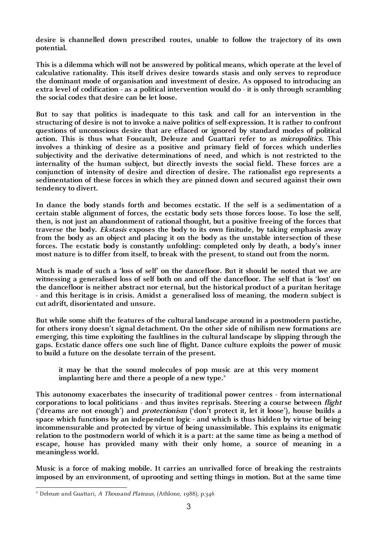**desire is channelled down prescribed routes, unable to follow the trajectory of its own potential.**

**This is a dilemma which will not be answered by political means, which operate at the level of calculative rationality. This itself drives desire towards stasis and only serves to reproduce the dominant mode of organisation and investment of desire. As opposed to introducing an extra level of codification - as a political intervention would do - it is only through scrambling the social codes that desire can be let loose.**

**But to say that politics is inadequate to this task and call for an intervention in the structuring of desire is not to invoke a naive politics of self-expression. It is rather to confront questions of unconscious desire that are effaced or ignored by standard modes of political action. This is thus what Foucault, Deleuze and Guattari refer to as micropolitics. This involves a thinking of desire as a positive and primary field of forces which underlies subjectivity and the derivative determinations of need, and which is not restricted to the internality of the human subject, but directly invests the social field. These forces are a conjunction of intensity of desire and direction of desire. The rationalist ego represents a sedimentation of these forces in which they are pinned down and secured against their own tendency to divert.**

**In dance the body stands forth and becomes ecstatic. If the self is a sedimentation of a certain stable alignment of forces, the ecstatic body sets those forces loose. To lose the self, then, is not just an abandonment of rational thought, but a positive freeing of the forces that traverse the body. Ekstasis exposes the body to its own finitude, by taking emphasis away from the body as an object and placing it on the body as the unstable intersection of these forces. The ecstatic body is constantly unfolding: completed only by death, a body's inner most nature is to differ from itself, to break with the present, to stand out from the norm.**

**Much is made of such a 'loss of self' on the dancefloor. But it should be noted that we are witnessing a generalised loss of self both on and off the dancefloor. The self that is 'lost' on the dancefloor is neither abstract nor eternal, but the historical product of a puritan heritage - and this heritage is in crisis. Amidst a generalised loss of meaning, the modern subject is cut adrift, disorientated and unsure.**

**But while some shift the features of the cultural landscape around in a postmodern pastiche, for others irony doesn't signal detachment. On the other side of nihilism new formations are emerging, this time exploiting the faultlines in the cultural landscape by slipping through the gaps. Ecstatic dance offers one such line of flight. Dance culture exploits the power of music to build a future on the desolate terrain of the present.**

**it may be that the sound molecules of pop music are at this very moment implanting here and there a people of a new type.2**

**This autonomy exacerbates the insecurity of traditional power centres - from international corporations to local politicians - and thus invites reprisals. Steering a course between flight ('dreams are not enough') and protectionism ('don't protect it, let it loose'), house builds a space which functions by an independent logic - and which is thus hidden by virtue of being incommensurable and protected by virtue of being unassimilable. This explains its enigmatic relation to the postmodern world of which it is a part: at the same time as being a method of escape, house has provided many with their only home, a source of meaning in a meaningless world.**

**Music is a force of making mobile. It carries an unrivalled force of breaking the restraints imposed by an environment, of uprooting and setting things in motion. But at the same time** 

 $\frac{1}{2}$ Deleuze and Guattari, A Thousand Plateaus, (Athlone, 1988), p.346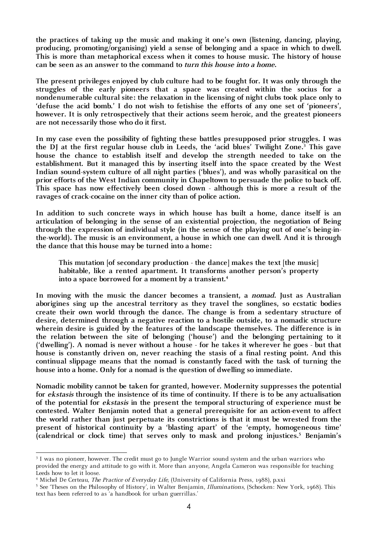**the practices of taking up the music and making it one's own (listening, dancing, playing, producing, promoting/organising) yield a sense of belonging and a space in which to dwell. This is more than metaphorical excess when it comes to house music. The history of house can be seen as an answer to the command to turn this house into a home.**

**The present privileges enjoyed by club culture had to be fought for. It was only through the struggles of the early pioneers that a space was created within the socius for a nondenumerable cultural site: the relaxation in the licensing of night clubs took place only to 'defuse the acid bomb.' I do not wish to fetishise the efforts of any one set of 'pioneers', however. It is only retrospectively that their actions seem heroic, and the greatest pioneers are not necessarily those who do it first.**

**In my case even the possibility of fighting these battles presupposed prior struggles. I was the DJ at the first regular house club in Leeds, the 'acid blues' Twilight Zone.3 This gave house the chance to establish itself and develop the strength needed to take on the establishment. But it managed this by inserting itself into the space created by the West Indian sound-system culture of all night parties ('blues'), and was wholly parasitical on the prior efforts of the West Indian community in Chapeltown to persuade the police to back off. This space has now effectively been closed down - although this is more a result of the ravages of crack-cocaine on the inner city than of police action.**

**In addition to such concrete ways in which house has built a home, dance itself is an articulation of belonging in the sense of an existential projection, the negotiation of Being through the expression of individual style (in the sense of the playing out of one's being-inthe-world). The music is an environment, a house in which one can dwell. And it is through the dance that this house may be turned into a home:**

**This mutation [of secondary production - the dance] makes the text [the music] habitable, like a rented apartment. It transforms another person's property into a space borrowed for a moment by a transient.4**

In moving with the music the dancer becomes a transient, a *nomad*. Just as Australian **aborigines sing up the ancestral territory as they travel the songlines, so ecstatic bodies create their own world through the dance. The change is from a sedentary structure of desire, determined through a negative reaction to a hostile outside, to a nomadic structure wherein desire is guided by the features of the landscape themselves. The difference is in the relation between the site of belonging ('house') and the belonging pertaining to it ('dwelling'). A nomad is never without a house - for he takes it wherever he goes - but that house is constantly driven on, never reaching the stasis of a final resting point. And this continual slippage means that the nomad is constantly faced with the task of turning the house into a home. Only for a nomad is the question of dwelling so immediate.**

**Nomadic mobility cannot be taken for granted, however. Modernity suppresses the potential for ekstasis through the insistence of its time of continuity. If there is to be any actualisation of the potential for ekstasis in the present the temporal structuring of experience must be contested. Walter Benjamin noted that a general prerequisite for an action-event to affect the world rather than just perpetuate its constrictions is that it must be wrested from the present of historical continuity by a 'blasting apart' of the 'empty, homogeneous time'**  (calendrical or clock time) that serves only to mask and prolong injustices.<sup>5</sup> Benjamin's

 $\frac{1}{3}$ <sup>3</sup> I was no pioneer, however. The credit must go to Jungle Warrior sound system and the urban warriors who provided the energy and attitude to go with it. More than anyone, Angela Cameron was responsible for teaching Leeds how to let it loose.

<sup>&</sup>lt;sup>4</sup> Michel De Certeau, *The Practice of Everyday Life*, (University of California Press, 1988), p.xxi<br><sup>5</sup> See Theses on the Philosophy of History', in Molter Boniamin, *Illuminations (Schocken, Ne*r

<sup>&</sup>lt;sup>5</sup> See 'Theses on the Philosophy of History', in Walter Benjamin, *Illuminations*, (Schocken: New York, 1968). This text has been referred to as 'a handbook for urban guerrillas.'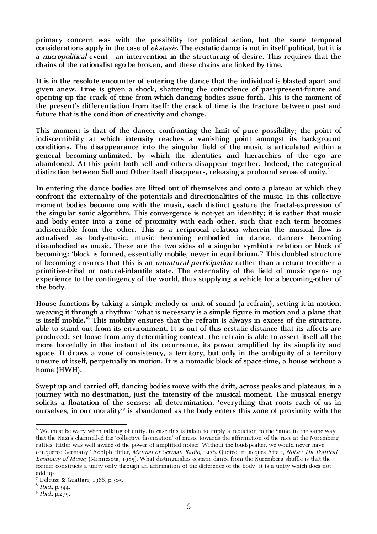**primary concern was with the possibility for political action, but the same temporal considerations apply in the case of ekstasis. The ecstatic dance is not in itself political, but it is a micropolitical event - an intervention in the structuring of desire. This requires that the chains of the rationalist ego be broken, and these chains are linked by time.**

**It is in the resolute encounter of entering the dance that the individual is blasted apart and given anew. Time is given a shock, shattering the coincidence of past-present-future and opening up the crack of time from which dancing bodies issue forth. This is the moment of the present's differentiation from itself: the crack of time is the fracture between past and future that is the condition of creativity and change.**

**This moment is that of the dancer confronting the limit of pure possibility; the point of indiscernibility at which intensity reaches a vanishing point amongst its background conditions. The disappearance into the singular field of the music is articulated within a general becoming-unlimited, by which the identities and hierarchies of the ego are abandoned. At this point both self and others disappear together. Indeed, the categorical distinction between Self and Other itself disappears, releasing a profound sense of unity.6**

**In entering the dance bodies are lifted out of themselves and onto a plateau at which they confront the externality of the potentials and directionalities of the music. In this collective moment bodies become one with the music, each distinct gesture the fractal-expression of the singular sonic algorithm. This convergence is not-yet an identity; it is rather that music and body enter into a zone of proximity with each other, such that each term becomes indiscernible from the other. This is a reciprocal relation wherein the musical flow is actualised as body-music: music becoming embodied in dance, dancers becoming disembodied as music. These are the two sides of a singular symbiotic relation or block of becoming: 'block is formed, essentially mobile, never in equilibrium.'7 This doubled structure of becoming ensures that this is an unnatural participation rather than a return to either a primitive-tribal or natural-infantile state. The externality of the field of music opens up experience to the contingency of the world, thus supplying a vehicle for a becoming-other of the body.**

**House functions by taking a simple melody or unit of sound (a refrain), setting it in motion, weaving it through a rhythm: 'what is necessary is a simple figure in motion and a plane that is itself mobile.'8 This mobility ensures that the refrain is always in excess of the structure, able to stand out from its environment. It is out of this ecstatic distance that its affects are produced: set loose from any determining context, the refrain is able to assert itself all the more forcefully in the instant of its recurrence, its power amplified by its simplicity and space. It draws a zone of consistency, a territory, but only in the ambiguity of a territory unsure of itself, perpetually in motion. It is a nomadic block of space-time, a house without a home (HWH).**

**Swept up and carried off, dancing bodies move with the drift, across peaks and plateaus, in a journey with no destination, just the intensity of the musical moment. The musical energy solicits a floatation of the senses: all determination, 'everything that roots each of us in ourselves, in our morality'9 is abandoned as the body enters this zone of proximity with the** 

 $\frac{1}{6}$  We must be wary when talking of unity, in case this is taken to imply a reduction to the Same, in the same way that the Nazi's channelled the 'collective fascination' of music towards the affirmation of the race at the Nuremberg rallies. Hitler was well aware of the power of amplified noise: 'Without the loudspeaker, we would never have conquered Germany.' Adolph Hitler, Manual of German Radio, 1938. Quoted in Jacques Attali, Noise: The Political Economy of Music, (Minnesota, 1985). What distinguishes ecstatic dance from the Nuremberg shuffle is that the former constructs a unity only through an affirmation of the difference of the body: it is a unity which does not add up.

<sup>7</sup> Deleuze & Guattari, 1988, p.305.

<sup>8</sup> Ibid., p.344.

<sup>9</sup> Ibid., p.279.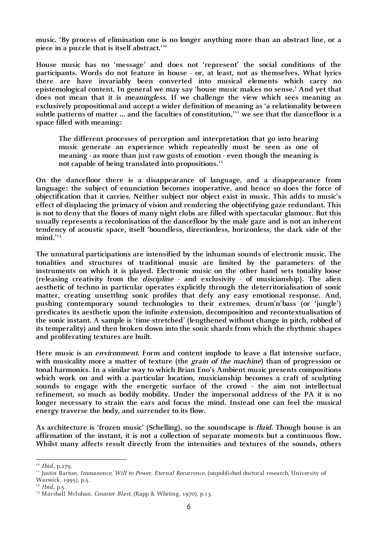**music. 'By process of elimination one is no longer anything more than an abstract line, or a piece in a puzzle that is itself abstract.'10**

**House music has no 'message' and does not 'represent' the social conditions of the participants. Words do not feature in house - or, at least, not as themselves. What lyrics there are have invariably been converted into musical elements which carry no epistemological content. In general we may say 'house music makes no sense.' And yet that does not mean that it is meaningless. If we challenge the view which sees meaning as exclusively propositional and accept a wider definition of meaning as 'a relationality between**  subtle patterns of matter ... and the faculties of constitution,<sup>11</sup> we see that the dancefloor is a **space filled with meaning:**

**The different processes of perception and interpretation that go into hearing music generate an experience which repeatedly must be seen as one of meaning - as more than just raw gusts of emotion - even though the meaning is not capable of being translated into propositions.12**

**On the dancefloor there is a disappearance of language, and a disappearance from language: the subject of enunciation becomes inoperative, and hence so does the force of objectification that it carries. Neither subject nor object exist in music. This adds to music's effect of displacing the primacy of vision and rendering the objectifying gaze redundant. This is not to deny that the floors of many night clubs are filled with spectacular glamour. But this usually represents a recolonisation of the dancefloor by the male gaze and is not an inherent tendency of acoustic space, itself 'boundless, directionless, horizonless, the dark side of the mind.'13**

**The unnatural participations are intensified by the inhuman sounds of electronic music. The tonalities and structures of traditional music are limited by the parameters of the instruments on which it is played. Electronic music on the other hand sets tonality loose (releasing creativity from the discipline - and exclusivity - of musicianship). The alien aesthetic of techno in particular operates explicitly through the deterritorialisation of sonic matter, creating unsettling sonic profiles that defy any easy emotional response. And, pushing contemporary sound technologies to their extremes, drum'n'bass (or 'jungle') predicates its aesthetic upon the infinite extension, decomposition and recontextualisation of the sonic instant. A sample is 'time-stretched' (lengthened without change in pitch, robbed of its temperality) and then broken down into the sonic shards from which the rhythmic shapes and proliferating textures are built.**

**Here music is an environment. Form and content implode to leave a flat intensive surface,**  with musicality more a matter of texture (the *grain of the machine*) than of progression or **tonal harmonics. In a similar way to which Brian Eno's Ambient music presents compositions which work on and with a particular location, musicianship becomes a craft of sculpting sounds to engage with the energetic surface of the crowd - the aim not intellectual refinement, so much as bodily mobility. Under the impersonal address of the PA it is no longer necessary to strain the ears and focus the mind. Instead one can feel the musical energy traverse the body, and surrender to its flow.**

**As architecture is 'frozen music' (Schelling), so the soundscape is fluid. Though house is an affirmation of the instant, it is not a collection of separate moments but a continuous flow. Whilst many affects result directly from the intensities and textures of the sounds, others** 

<sup>&</sup>lt;sup>10</sup> *Ibid.*, p.279.

<sup>&</sup>lt;sup>11</sup> Justin Barton, Immanence, Will to Power, Eternal Recurrence, (unpublished doctoral research, University of

Warwick, 1995), p.5.  $12$  Ibid., p.5.

<sup>&</sup>lt;sup>13</sup> Marshall Mcluhan, Counter Blast, (Rapp & Whiting, 1970), p.13.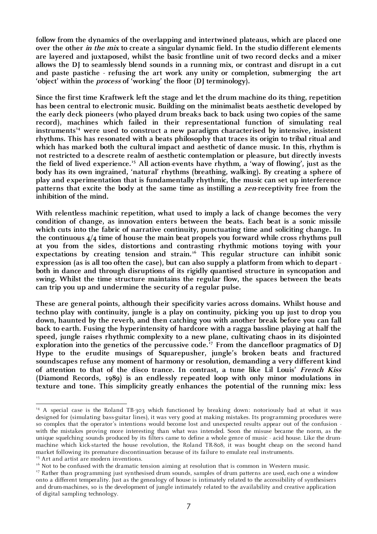**follow from the dynamics of the overlapping and intertwined plateaus, which are placed one over the other in the mix to create a singular dynamic field. In the studio different elements are layered and juxtaposed, whilst the basic frontline unit of two record decks and a mixer allows the DJ to seamlessly blend sounds in a running mix, or contrast and disrupt in a cut and paste pastiche - refusing the art work any unity or completion, submerging the art 'object' within the process of 'working' the floor (DJ terminology).**

**Since the first time Kraftwerk left the stage and let the drum machine do its thing, repetition has been central to electronic music. Building on the minimalist beats aesthetic developed by the early deck pioneers (who played drum breaks back to back using two copies of the same record), machines which failed in their representational function of simulating real**  instruments<sup>14</sup> were used to construct a new paradigm characterised by intensive, insistent **rhythms. This has resonated with a beats philosophy that traces its origin to tribal ritual and which has marked both the cultural impact and aesthetic of dance music. In this, rhythm is not restricted to a descrete realm of aesthetic contemplation or pleasure, but directly invests the field of lived experience.15 All action-events have rhythm, a 'way of flowing', just as the body has its own ingrained, 'natural' rhythms (breathing, walking). By creating a sphere of play and experimentation that is fundamentally rhythmic, the music can set up interference patterns that excite the body at the same time as instilling a zen-receptivity free from the inhibition of the mind.**

**With relentless machinic repetition, what used to imply a lack of change becomes the very condition of change, as innovation enters between the beats. Each beat is a sonic missile which cuts into the fabric of narrative continuity, punctuating time and soliciting change. In the continuous 4/4 time of house the main beat propels you forward while cross rhythms pull at you from the sides, distortions and contrasting rhythmic motions toying with your**  expectations by creating tension and strain.<sup>16</sup> This regular structure can inhibit sonic **expression (as is all too often the case), but can also supply a platform from which to depart both in dance and through disruptions of its rigidly quantised structure in syncopation and swing. Whilst the time structure maintains the regular flow, the spaces between the beats can trip you up and undermine the security of a regular pulse.**

**These are general points, although their specificity varies across domains. Whilst house and techno play with continuity, jungle is a play on continuity, picking you up just to drop you down, haunted by the reverb, and then catching you with another break before you can fall back to earth. Fusing the hyperintensity of hardcore with a ragga bassline playing at half the speed, jungle raises rhythmic complexity to a new plane, cultivating chaos in its disjointed**  exploration into the genetics of the percussive code.<sup>17</sup> From the dancefloor pragmatics of DJ **Hype to the erudite musings of Squarepusher, jungle's broken beats and fractured soundscapes refuse any moment of harmony or resolution, demanding a very different kind of attention to that of the disco trance. In contrast, a tune like Lil Louis' French Kiss (Diamond Records, 1989) is an endlessly repeated loop with only minor modulations in texture and tone. This simplicity greatly enhances the potential of the running mix: less** 

<sup>&</sup>lt;sup>14</sup> A special case is the Roland TB-303 which functioned by breaking down: notoriously bad at what it was designed for (simulating bass-guitar lines), it was very good at making mistakes. Its programming procedures were so complex that the operator's intentions would become lost and unexpected results appear out of the confusion with the mistakes proving more interesting than what was intended. Soon the misuse became the norm, as the unique squelching sounds produced by its filters came to define a whole genre of music - acid house. Like the drummachine which kick-started the house revolution, the Roland TR-808, it was bought cheap on the second hand market following its premature discontinuation because of its failure to emulate real instruments.

<sup>&</sup>lt;sup>15</sup> Art and artist are modern inventions.

<sup>&</sup>lt;sup>16</sup> Not to be confused with the dramatic tension aiming at resolution that is common in Western music.

<sup>&</sup>lt;sup>17</sup> Rather than programming just synthesised drum sounds, samples of drum patterns are used, each one a window onto a different temperality. Just as the genealogy of house is intimately related to the accessibility of synthesisers and drum-machines, so is the development of jungle intimately related to the availability and creative application of digital sampling technology.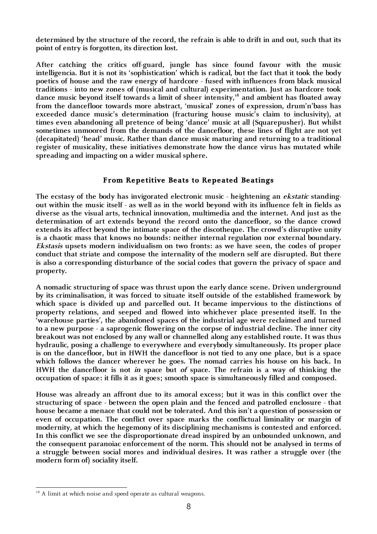**determined by the structure of the record, the refrain is able to drift in and out, such that its point of entry is forgotten, its direction lost.**

**After catching the critics off-guard, jungle has since found favour with the music intelligencia. But it is not its 'sophistication' which is radical, but the fact that it took the body poetics of house and the raw energy of hardcore - fused with influences from black musical traditions - into new zones of (musical and cultural) experimentation. Just as hardcore took**  dance music beyond itself towards a limit of sheer intensity,<sup>18</sup> and ambient has floated away **from the dancefloor towards more abstract, 'musical' zones of expression, drum'n'bass has exceeded dance music's determination (fracturing house music's claim to inclusivity), at times even abandoning all pretence of being 'dance' music at all (Squarepusher). But whilst sometimes unmoored from the demands of the dancefloor, these lines of flight are not yet (decapitated) 'head' music. Rather than dance music maturing and returning to a traditional register of musicality, these initiatives demonstrate how the dance virus has mutated while spreading and impacting on a wider musical sphere.** 

## **From Repetitive Beats to Repeated Beatings**

**The ecstasy of the body has invigorated electronic music - heightening an ekstatic standingout within the music itself - as well as in the world beyond with its influence felt in fields as diverse as the visual arts, technical innovation, multimedia and the internet. And just as the determination of art extends beyond the record onto the dancefloor, so the dance crowd extends its affect beyond the intimate space of the discotheque. The crowd's disruptive unity is a chaotic mass that knows no bounds: neither internal regulation nor external boundary. Ekstasis upsets modern individualism on two fronts: as we have seen, the codes of proper conduct that striate and compose the internality of the modern self are disrupted. But there is also a corresponding disturbance of the social codes that govern the privacy of space and property.**

**A nomadic structuring of space was thrust upon the early dance scene. Driven underground by its criminalisation, it was forced to situate itself outside of the established framework by which space is divided up and parcelled out. It became impervious to the distinctions of property relations, and seeped and flowed into whichever place presented itself. In the 'warehouse parties', the abandoned spaces of the industrial age were reclaimed and turned to a new purpose - a saprogenic flowering on the corpse of industrial decline. The inner city breakout was not enclosed by any wall or channelled along any established route. It was thus hydraulic, posing a challenge to everywhere and everybody simultaneously. Its proper place is on the dancefloor, but in HWH the dancefloor is not tied to any one place, but is a space which follows the dancer wherever he goes. The nomad carries his house on his back. In HWH the dancefloor is not in space but of space. The refrain is a way of thinking the occupation of space: it fills it as it goes; smooth space is simultaneously filled and composed.**

**House was already an affront due to its amoral excess; but it was in this conflict over the structuring of space - between the open plain and the fenced and patrolled enclosure - that house became a menace that could not be tolerated. And this isn't a question of possession or even of occupation. The conflict over space marks the conflictual liminality or margin of modernity, at which the hegemony of its disciplining mechanisms is contested and enforced. In this conflict we see the disproportionate dread inspired by an unbounded unknown, and the consequent paranoiac enforcement of the norm. This should not be analysed in terms of a struggle between social mores and individual desires. It was rather a struggle over (the modern form of) sociality itself.**

<sup>&</sup>lt;sup>18</sup> A limit at which noise and speed operate as cultural weapons.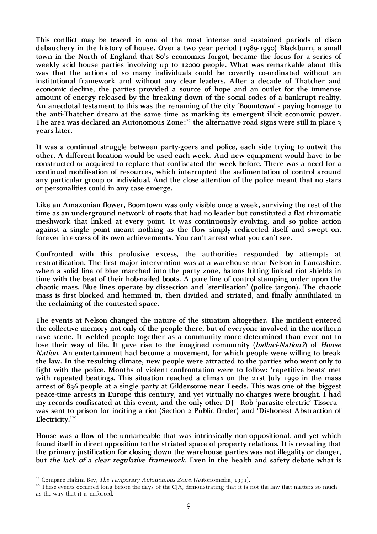**This conflict may be traced in one of the most intense and sustained periods of disco debauchery in the history of house. Over a two year period (1989-1990) Blackburn, a small town in the North of England that 80's economics forgot, became the focus for a series of weekly acid house parties involving up to 12000 people. What was remarkable about this was that the actions of so many individuals could be covertly co-ordinated without an institutional framework and without any clear leaders. After a decade of Thatcher and economic decline, the parties provided a source of hope and an outlet for the immense amount of energy released by the breaking down of the social codes of a bankrupt reality. An anecdotal testament to this was the renaming of the city 'Boomtown' - paying homage to the anti-Thatcher dream at the same time as marking its emergent illicit economic power.**  The area was declared an Autonomous Zone:<sup>19</sup> the alternative road signs were still in place 3 **years later.**

**It was a continual struggle between party-goers and police, each side trying to outwit the other. A different location would be used each week. And new equipment would have to be constructed or acquired to replace that confiscated the week before. There was a need for a continual mobilisation of resources, which interrupted the sedimentation of control around any particular group or individual. And the close attention of the police meant that no stars or personalities could in any case emerge.**

**Like an Amazonian flower, Boomtown was only visible once a week, surviving the rest of the time as an underground network of roots that had no leader but constituted a flat rhizomatic meshwork that linked at every point. It was continuously evolving, and so police action against a single point meant nothing as the flow simply redirected itself and swept on, forever in excess of its own achievements. You can't arrest what you can't see.**

**Confronted with this profusive excess, the authorities responded by attempts at restratification. The first major intervention was at a warehouse near Nelson in Lancashire, when a solid line of blue marched into the party zone, batons hitting linked riot shields in time with the beat of their hob-nailed boots. A pure line of control stamping order upon the chaotic mass. Blue lines operate by dissection and 'sterilisation' (police jargon). The chaotic mass is first blocked and hemmed in, then divided and striated, and finally annihilated in the reclaiming of the contested space.**

**The events at Nelson changed the nature of the situation altogether. The incident entered the collective memory not only of the people there, but of everyone involved in the northern rave scene. It welded people together as a community more determined than ever not to lose their way of life. It gave rise to the imagined community (halluci-Nation?) of House Nation. An entertainment had become a movement, for which people were willing to break the law. In the resulting climate, new people were attracted to the parties who went only to fight with the police. Months of violent confrontation were to follow: 'repetitive beats' met**  with repeated beatings. This situation reached a climax on the 21st July 1990 in the mass **arrest of 836 people at a single party at Gildersome near Leeds. This was one of the biggest peace-time arrests in Europe this century, and yet virtually no charges were brought. I had my records confiscated at this event, and the only other DJ - Rob 'parasite-electric' Tissera was sent to prison for inciting a riot (Section 2 Public Order) and 'Dishonest Abstraction of Electricity.'20**

**House was a flow of the unnameable that was intrinsically non-oppositional, and yet which found itself in direct opposition to the striated space of property relations. It is revealing that the primary justification for closing down the warehouse parties was not illegality or danger, but the lack of a clear regulative framework. Even in the health and safety debate what is** 

<sup>&</sup>lt;sup>19</sup> Compare Hakim Bey, *The Temporary Autonomous Zone*, (Autonomedia, 1991).<br><sup>20</sup> These events occurred long before the days of the CJA, demonstrating that it is not the law that matters so much as the way that it is enforced.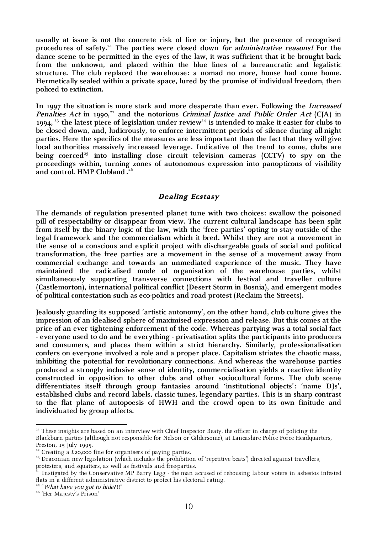**usually at issue is not the concrete risk of fire or injury, but the presence of recognised procedures of safety.21 The parties were closed down for administrative reasons! For the dance scene to be permitted in the eyes of the law, it was sufficient that it be brought back from the unknown, and placed within the blue lines of a bureaucratic and legalistic structure. The club replaced the warehouse: a nomad no more, house had come home. Hermetically sealed within a private space, lured by the promise of individual freedom, then policed to extinction.**

**In 1997 the situation is more stark and more desperate than ever. Following the Increased Penalties Act** in 1990,<sup>22</sup> and the notorious *Criminal Justice and Public Order Act* (CJA) in 1994,  $23$  the latest piece of legislation under review<sup>24</sup> is intended to make it easier for clubs to **be closed down, and, ludicrously, to enforce intermittent periods of silence during all-night parties. Here the specifics of the measures are less important than the fact that they will give local authorities massively increased leverage. Indicative of the trend to come, clubs are**  being coerced<sup>25</sup> into installing close circuit television cameras (CCTV) to spy on the **proceedings within, turning zones of autonomous expression into panopticons of visibility and control. HMP Clubland . 26**

## **Dealing Ecstasy**

**The demands of regulation presented planet tune with two choices: swallow the poisoned pill of respectability or disappear from view. The current cultural landscape has been split from itself by the binary logic of the law, with the 'free parties' opting to stay outside of the legal framework and the commercialism which it bred. Whilst they are not a movement in the sense of a conscious and explicit project with dischargeable goals of social and political transformation, the free parties are a movement in the sense of a movement away from commercial exchange and towards an unmediated experience of the music. They have maintained the radicalised mode of organisation of the warehouse parties, whilst simultaneously supporting transverse connections with festival and traveller culture (Castlemorton), international political conflict (Desert Storm in Bosnia), and emergent modes of political contestation such as eco-politics and road protest (Reclaim the Streets).**

**Jealously guarding its supposed 'artistic autonomy', on the other hand, club culture gives the impression of an idealised sphere of maximised expression and release. But this comes at the price of an ever tightening enforcement of the code. Whereas partying was a total social fact - everyone used to do and be everything - privatisation splits the participants into producers and consumers, and places them within a strict hierarchy. Similarly, professionalisation confers on everyone involved a role and a proper place. Capitalism striates the chaotic mass, inhibiting the potential for revolutionary connections. And whereas the warehouse parties produced a strongly inclusive sense of identity, commercialisation yields a reactive identity constructed in opposition to other clubs and other sociocultural forms. The club scene differentiates itself through group fantasies around 'institutional objects': 'name DJs', established clubs and record labels, classic tunes, legendary parties. This is in sharp contrast to the flat plane of autopoesis of HWH and the crowd open to its own finitude and individuated by group affects.**

protesters, and squatters, as well as festivals and free-parties.

<sup>&</sup>lt;sup>21</sup> These insights are based on an interview with Chief Inspector Beaty, the officer in charge of policing the Blackburn parties (although not responsible for Nelson or Gildersome), at Lancashire Police Force Headquarters, Preston, 15 July 1995.

 $22$  Creating a £20,000 fine for organisers of paying parties.

<sup>&</sup>lt;sup>23</sup> Draconian new legislation (which includes the prohibition of 'repetitive beats') directed against travellers,

 $24$  Instigated by the Conservative MP Barry Legg - the man accused of rehousing labour voters in asbestos infested flats in a different administrative district to protect his electoral rating.

<sup>&</sup>lt;sup>25</sup> "What have you got to hide?!!"<br><sup>26</sup> 'Her Majesty's Prison'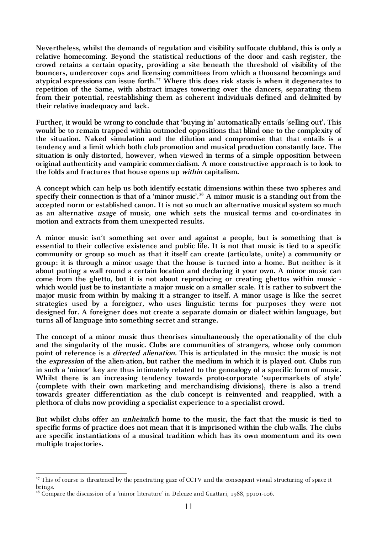**Nevertheless, whilst the demands of regulation and visibility suffocate clubland, this is only a relative homecoming. Beyond the statistical reductions of the door and cash register, the crowd retains a certain opacity, providing a site beneath the threshold of visibility of the bouncers, undercover cops and licensing committees from which a thousand becomings and**  atypical expressions can issue forth.<sup>27</sup> Where this does risk stasis is when it degenerates to **repetition of the Same, with abstract images towering over the dancers, separating them from their potential, reestablishing them as coherent individuals defined and delimited by their relative inadequacy and lack.**

**Further, it would be wrong to conclude that 'buying in' automatically entails 'selling out'. This would be to remain trapped within outmoded oppositions that blind one to the complexity of the situation. Naked simulation and the dilution and compromise that that entails is a tendency and a limit which both club promotion and musical production constantly face. The situation is only distorted, however, when viewed in terms of a simple opposition between original authenticity and vampiric commercialism. A more constructive approach is to look to the folds and fractures that house opens up within capitalism.**

**A concept which can help us both identify ecstatic dimensions within these two spheres and**  specify their connection is that of a 'minor music'.<sup>28</sup> A minor music is a standing out from the **accepted norm or established canon. It is not so much an alternative musical system so much as an alternative usage of music, one which sets the musical terms and co-ordinates in motion and extracts from them unexpected results.**

**A minor music isn't something set over and against a people, but is something that is essential to their collective existence and public life. It is not that music is tied to a specific community or group so much as that it itself can create (articulate, unite) a community or group: it is through a minor usage that the house is turned into a home. But neither is it about putting a wall round a certain location and declaring it your own. A minor music can come from the ghetto, but it is not about reproducing or creating ghettos within music which would just be to instantiate a major music on a smaller scale. It is rather to subvert the major music from within by making it a stranger to itself. A minor usage is like the secret strategies used by a foreigner, who uses linguistic terms for purposes they were not designed for. A foreigner does not create a separate domain or dialect within language, but turns all of language into something secret and strange.**

**The concept of a minor music thus theorises simultaneously the operationality of the club and the singularity of the music. Clubs are communities of strangers, whose only common point of reference is a directed alienation. This is articulated in the music: the music is not the expression of the alien-ation, but rather the medium in which it is played out. Clubs run in such a 'minor' key are thus intimately related to the genealogy of a specific form of music. Whilst there is an increasing tendency towards proto-corporate 'supermarkets of style' (complete with their own marketing and merchandising divisions), there is also a trend towards greater differentiation as the club concept is reinvented and reapplied, with a plethora of clubs now providing a specialist experience to a specialist crowd.**

**But whilst clubs offer an unheimlich home to the music, the fact that the music is tied to specific forms of practice does not mean that it is imprisoned within the club walls. The clubs are specific instantiations of a musical tradition which has its own momentum and its own multiple trajectories.**

<sup>&</sup>lt;sup>27</sup> This of course is threatened by the penetrating gaze of CCTV and the consequent visual structuring of space it brings.

 $2<sup>8</sup>$  Compare the discussion of a 'minor literature' in Deleuze and Guattari, 1988, pp101-106.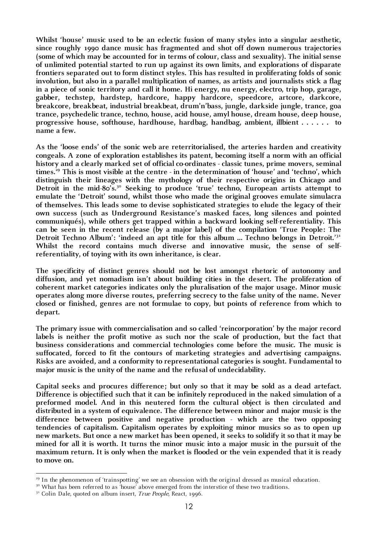**Whilst 'house' music used to be an eclectic fusion of many styles into a singular aesthetic, since roughly 1990 dance music has fragmented and shot off down numerous trajectories (some of which may be accounted for in terms of colour, class and sexuality). The initial sense of unlimited potential started to run up against its own limits, and explorations of disparate frontiers separated out to form distinct styles. This has resulted in proliferating folds of sonic involution, but also in a parallel multiplication of names, as artists and journalists stick a flag in a piece of sonic territory and call it home. Hi energy, nu energy, electro, trip hop, garage, gabber, techstep, hardstep, hardcore, happy hardcore, speedcore, artcore, darkcore, breakcore, breakbeat, industrial breakbeat, drum'n'bass, jungle, darkside jungle, trance, goa trance, psychedelic trance, techno, house, acid house, amyl house, dream house, deep house, progressive house, softhouse, hardhouse, hardbag, handbag, ambient, illbient . . . . . . to name a few.**

**As the 'loose ends' of the sonic web are reterritorialised, the arteries harden and creativity congeals. A zone of exploration establishes its patent, becoming itself a norm with an official history and a clearly marked set of official co-ordinates - classic tunes, prime movers, seminal**  times.<sup>29</sup> This is most visible at the centre - in the determination of 'house' and 'techno', which **distinguish their lineages with the mythology of their respective origins in Chicago and**  Detroit in the mid-80's.<sup>30</sup> Seeking to produce 'true' techno, European artists attempt to **emulate the 'Detroit' sound, whilst those who made the original grooves emulate simulacra of themselves. This leads some to devise sophisticated strategies to elude the legacy of their own success (such as Underground Resistance's masked faces, long silences and pointed communiqués), while others get trapped within a backward looking self-referentiality. This can be seen in the recent release (by a major label) of the compilation 'True People: The Detroit Techno Album': 'indeed an apt title for this album … Techno belongs in Detroit.'31 Whilst the record contains much diverse and innovative music, the sense of selfreferentiality, of toying with its own inheritance, is clear.**

**The specificity of distinct genres should not be lost amongst rhetoric of autonomy and diffusion, and yet nomadism isn't about building cities in the desert. The proliferation of coherent market categories indicates only the pluralisation of the major usage. Minor music operates along more diverse routes, preferring secrecy to the false unity of the name. Never closed or finished, genres are not formulae to copy, but points of reference from which to depart.**

**The primary issue with commercialisation and so called 'reincorporation' by the major record labels is neither the profit motive as such nor the scale of production, but the fact that business considerations and commercial technologies come before the music. The music is suffocated, forced to fit the contours of marketing strategies and advertising campaigns. Risks are avoided, and a conformity to representational categories is sought. Fundamental to major music is the unity of the name and the refusal of undecidability.**

**Capital seeks and procures difference; but only so that it may be sold as a dead artefact. Difference is objectified such that it can be infinitely reproduced in the naked simulation of a preformed model. And in this neutered form the cultural object is then circulated and distributed in a system of equivalence. The difference between minor and major music is the difference between positive and negative production - which are the two opposing tendencies of capitalism. Capitalism operates by exploiting minor musics so as to open up new markets. But once a new market has been opened, it seeks to solidify it so that it may be mined for all it is worth. It turns the minor music into a major music in the pursuit of the maximum return. It is only when the market is flooded or the vein expended that it is ready to move on.**

<sup>&</sup>lt;sup>29</sup> In the phenomenon of 'trainspotting' we see an obsession with the original dressed as musical education.

<sup>&</sup>lt;sup>30</sup> What has been referred to as 'house' above emerged from the interstice of these two traditions.

 $31$  Colin Dale, quoted on album insert, *True People*, React, 1996.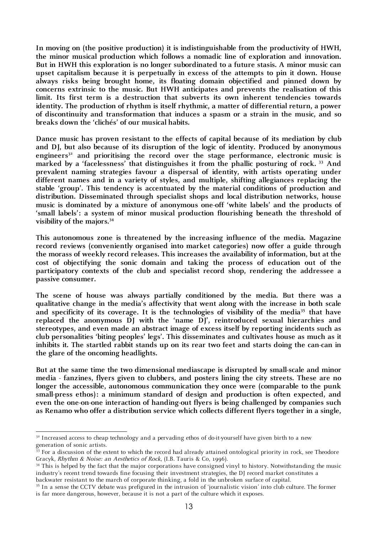**In moving on (the positive production) it is indistinguishable from the productivity of HWH, the minor musical production which follows a nomadic line of exploration and innovation. But in HWH this exploration is no longer subordinated to a future stasis. A minor music can upset capitalism because it is perpetually in excess of the attempts to pin it down. House always risks being brought home, its floating domain objectified and pinned down by concerns extrinsic to the music. But HWH anticipates and prevents the realisation of this limit. Its first term is a destruction that subverts its own inherent tendencies towards identity. The production of rhythm is itself rhythmic, a matter of differential return, a power of discontinuity and transformation that induces a spasm or a strain in the music, and so breaks down the 'clichés' of our musical habits.**

**Dance music has proven resistant to the effects of capital because of its mediation by club and DJ, but also because of its disruption of the logic of identity. Produced by anonymous**  engineers<sup>32</sup> and prioritising the record over the stage performance, electronic music is **marked by a 'facelessness' that distinguishes it from the phallic posturing of rock. 33 And prevalent naming strategies favour a dispersal of identity, with artists operating under different names and in a variety of styles, and multiple, shifting allegiances replacing the stable 'group'. This tendency is accentuated by the material conditions of production and distribution. Disseminated through specialist shops and local distribution networks, house music is dominated by a mixture of anonymous one-off 'white labels' and the products of 'small labels': a system of minor musical production flourishing beneath the threshold of visibility of the majors.34**

**This autonomous zone is threatened by the increasing influence of the media. Magazine record reviews (conveniently organised into market categories) now offer a guide through the morass of weekly record releases. This increases the availability of information, but at the cost of objectifying the sonic domain and taking the process of education out of the participatory contexts of the club and specialist record shop, rendering the addressee a passive consumer.** 

**The scene of house was always partially conditioned by the media. But there was a qualitative change in the media's affectivity that went along with the increase in both scale**  and specificity of its coverage. It is the technologies of visibility of the media<sup>35</sup> that have replaced the anonymous DJ with the 'name DJ', reintroduced sexual hierarchies and **stereotypes, and even made an abstract image of excess itself by reporting incidents such as club personalities 'biting peoples' legs'. This disseminates and cultivates house as much as it inhibits it. The startled rabbit stands up on its rear two feet and starts doing the can-can in the glare of the oncoming headlights.** 

**But at the same time the two dimensional mediascape is disrupted by small-scale and minor media - fanzines, flyers given to clubbers, and posters lining the city streets. These are no longer the accessible, autonomous communication they once were (comparable to the punk small-press ethos): a minimum standard of design and production is often expected, and even the one-on-one interaction of handing-out flyers is being challenged by companies such as Renamo who offer a distribution service which collects different flyers together in a single,** 

 $3<sup>32</sup>$  Increased access to cheap technology and a pervading ethos of do-it-yourself have given birth to a new generation of sonic artists.

 $\frac{33}{33}$  For a discussion of the extent to which the record had already attained ontological priority in rock, see Theodore Gracyk, *Rhythm & Noise: an Aesthetics of Rock*, (I.B. Tauris & Co, 1996).  $\frac{34}{10}$  history. Notwithstanding the music  $\frac{34}{10}$  This is helped by the fact that the major corporations have consigned vinyl to history.

industry's recent trend towards fine focusing their investment strategies, the DJ record market constitutes a backwater resistant to the march of corporate thinking, a fold in the unbroken surface of capital.

<sup>35</sup> In a sense the CCTV debate was prefigured in the intrusion of 'journalistic vision' into club culture. The former is far more dangerous, however, because it is not a part of the culture which it exposes.